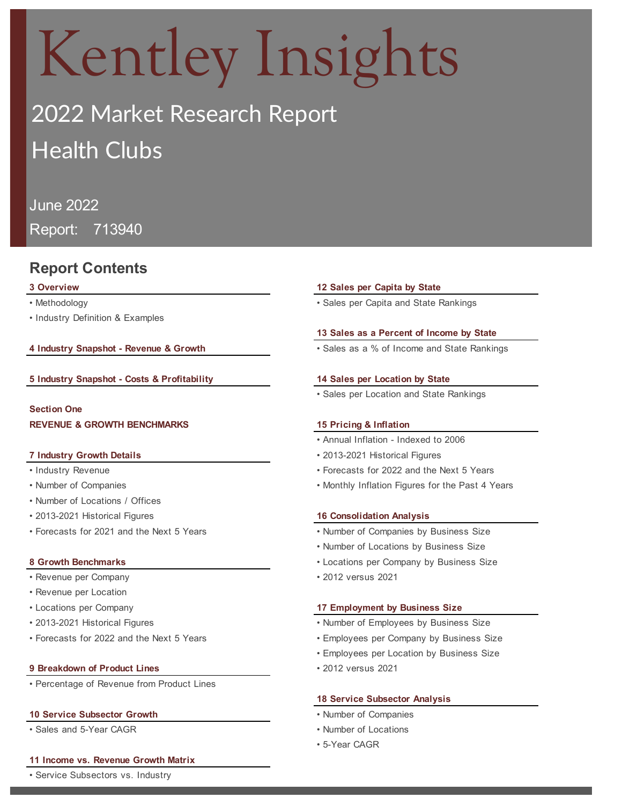# Kentley Insights

# 2022 Market Research Report Health Clubs

## June 2022

Report: 713940

## **Report Contents**

- 
- Industry Definition & Examples

**4 Industry Snapshot - Revenue & Growth** • Sales as a % of Income and State Rankings

#### **5 Industry Snapshot - Costs & Profitability 14 Sales per Location by State**

**Section One REVENUE & GROWTH BENCHMARKS**

- 
- 
- Number of Locations / Offices
- 2013-2021 Historical Figures **16 Consolidation Analysis**
- Forecasts for 2021 and the Next 5 Years

- Revenue per Company 2012 versus 2021
- Revenue per Location
- 
- 
- 

#### **9 Breakdown of Product Lines** • 2012 versus 2021

• Percentage of Revenue from Product Lines

#### **10 Service Subsector Growth** • Number of Companies

• Sales and 5-Year CAGR • Number of Locations

#### **11 Income vs. Revenue Growth Matrix**

• Service Subsectors vs. Industry

#### **3 Overview 12 Sales per Capita by State**

• Methodology **• Sales per Capita and State Rankings** • Sales per Capita and State Rankings

#### **13 Sales as a Percent of Income by State**

• Sales per Location and State Rankings

#### **15 Pricing & Inflation**

- Annual Inflation Indexed to 2006
- **7 Industry Growth Details** 2013-2021 Historical Figures
- Industry Revenue Forecasts for 2022 and the Next 5 Years
- Number of Companies Monthly Inflation Figures for the Past 4 Years

- Number of Companies by Business Size
- Number of Locations by Business Size
- **8 Growth Benchmarks** Locations per Company by Business Size
	-

#### • Locations per Company **17 Employment by Business Size**

- 2013-2021 Historical Figures Number of Employees by Business Size
- Forecasts for 2022 and the Next 5 Years Employees per Company by Business Size
	- Employees per Location by Business Size
	-

#### **18 Service Subsector Analysis**

- 
- 
- 5-Year CAGR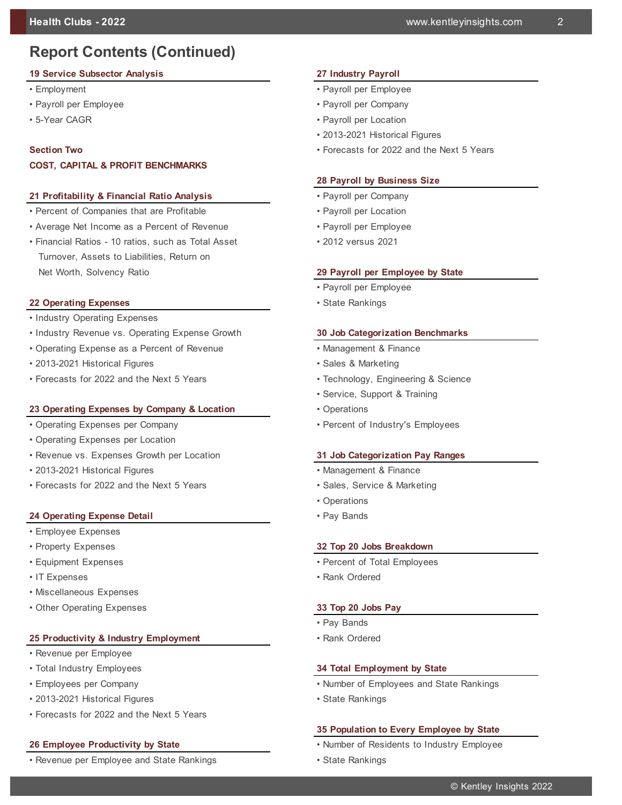# **Report Contents (Continued)**

#### **19 Service Subsector Analysis 27 Industry Payroll**

- 
- Payroll per Employee Payroll per Company
- 

#### **Section Two**

#### **COST, CAPITAL & PROFIT BENCHMARKS**

#### **21 Profitability & Financial Ratio Analysis** • Payroll per Company

- Percent of Companies that are Profitable Payroll per Location
- Average Net Income as a Percent of Revenue Payroll per Employee
- Financial Ratios 10 ratios, such as Total Asset 2012 versus 2021 Turnover, Assets to Liabilities, Return on Net Worth, Solvency Ratio **29 Payroll per Employee by State**

#### **22 Operating Expenses • State Rankings**

- Industry Operating Expenses
- Industry Revenue vs. Operating Expense Growth **30 Job Categorization Benchmarks**
- Operating Expense as a Percent of Revenue Management & Finance
- 2013-2021 Historical Figures Sales & Marketing
- Forecasts for 2022 and the Next 5 Years Technology, Engineering & Science

#### **23 Operating Expenses by Company & Location** • Operations

- Operating Expenses per Company Percent of Industry's Employees
- Operating Expenses per Location
- Revenue vs. Expenses Growth per Location **31 Job Categorization Pay Ranges**
- 2013-2021 Historical Figures Management & Finance
- Forecasts for 2022 and the Next 5 Years Sales, Service & Marketing

#### **24 Operating Expense Detail <b>Expense** 24 Operating Expense 20

- Employee Expenses
- 
- 
- 
- Miscellaneous Expenses
- Other Operating Expenses **33 Top 20 Jobs Pay**

#### 25 Productivity & Industry Employment • Rank Ordered

- Revenue per Employee
- 
- 
- 2013-2021 Historical Figures State Rankings
- Forecasts for 2022 and the Next 5 Years

• Revenue per Employee and State Rankings • State Rankings • State Rankings

- Employment Payroll per Employee
	-
- 5-Year CAGR Payroll per Location Payroll per Location
	- 2013-2021 Historical Figures
	- Forecasts for 2022 and the Next 5 Years

#### **28 Payroll by Business Size**

- 
- 
- 
- 

- Payroll per Employee
- 

- 
- 
- 
- Service, Support & Training
- 
- 

- 
- 
- Operations
- 

#### • Property Expenses **32 Top 20 Jobs Breakdown**

- Equipment Expenses Percent of Total Employees Percent of Total Employees
- IT Expenses **Rank Ordered** Rank Ordered

- Pay Bands
- 

#### • Total Industry Employees **34 Total Employment by State**

- Employees per Company Number of Employees and State Rankings
	-

#### **35 Population to Every Employee by State**

- **26 Employee Productivity by State** Number of Residents to Industry Employee
	-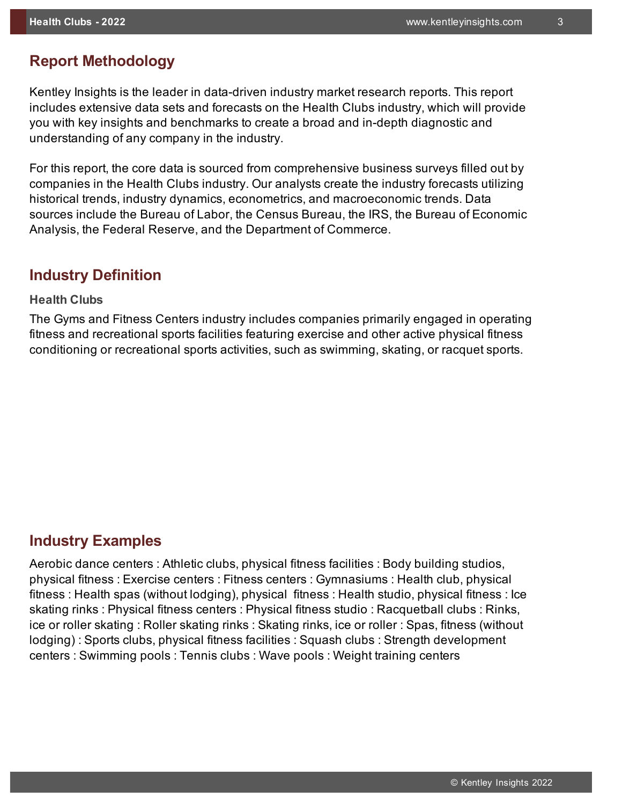## **Report Methodology**

Kentley Insights is the leader in data-driven industry market research reports. This report includes extensive data sets and forecasts on the Health Clubs industry, which will provide you with key insights and benchmarks to create a broad and in-depth diagnostic and understanding of any company in the industry.

For this report, the core data is sourced from comprehensive business surveys filled out by companies in the Health Clubs industry. Our analysts create the industry forecasts utilizing historical trends, industry dynamics, econometrics, and macroeconomic trends. Data sources include the Bureau of Labor, the Census Bureau, the IRS, the Bureau of Economic Analysis, the Federal Reserve, and the Department of Commerce.

## **Industry Definition**

#### **Health Clubs**

The Gyms and Fitness Centers industry includes companies primarily engaged in operating fitness and recreational sports facilities featuring exercise and other active physical fitness conditioning or recreational sports activities, such as swimming, skating, or racquet sports.

## **Industry Examples**

0 Aerobic dance centers : Athletic clubs, physical fitness facilities : Body building studios, physical fitness : Exercise centers : Fitness centers : Gymnasiums : Health club, physical fitness : Health spas (without lodging), physical fitness : Health studio, physical fitness : Ice skating rinks : Physical fitness centers : Physical fitness studio : Racquetball clubs : Rinks, ice or roller skating : Roller skating rinks : Skating rinks, ice or roller : Spas, fitness (without lodging) : Sports clubs, physical fitness facilities : Squash clubs : Strength development centers : Swimming pools : Tennis clubs : Wave pools : Weight training centers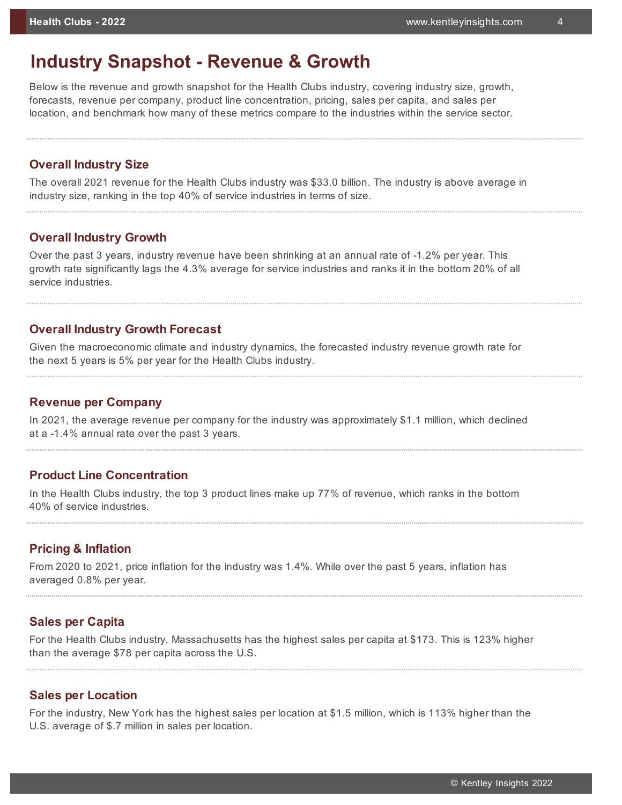# **Industry Snapshot - Revenue & Growth**

Below is the revenue and growth snapshot for the Health Clubs industry, covering industry size, growth, forecasts, revenue per company, product line concentration, pricing, sales per capita, and sales per location, and benchmark how many of these metrics compare to the industries within the service sector.

#### **Overall Industry Size**

The overall 2021 revenue for the Health Clubs industry was \$33.0 billion. The industry is above average in industry size, ranking in the top 40% of service industries in terms of size.

#### **Overall Industry Growth**

Over the past 3 years, industry revenue have been shrinking at an annual rate of -1.2% per year. This growth rate significantly lags the 4.3% average for service industries and ranks it in the bottom 20% of all service industries.

#### **Overall Industry Growth Forecast**

Given the macroeconomic climate and industry dynamics, the forecasted industry revenue growth rate for the next 5 years is 5% per year for the Health Clubs industry.

#### **Revenue per Company**

In 2021, the average revenue per company for the industry was approximately \$1.1 million, which declined at a -1.4% annual rate over the past 3 years.

#### **Product Line Concentration**

In the Health Clubs industry, the top 3 product lines make up 77% of revenue, which ranks in the bottom 40% of service industries.

#### **Pricing & Inflation**

From 2020 to 2021, price inflation for the industry was 1.4%. While over the past 5 years, inflation has averaged 0.8% per year.

#### **Sales per Capita**

For the Health Clubs industry, Massachusetts has the highest sales per capita at \$173. This is 123% higher than the average \$78 per capita across the U.S.

#### **Sales per Location**

For the industry, New York has the highest sales per location at \$1.5 million, which is 113% higher than the U.S. average of \$.7 million in sales per location.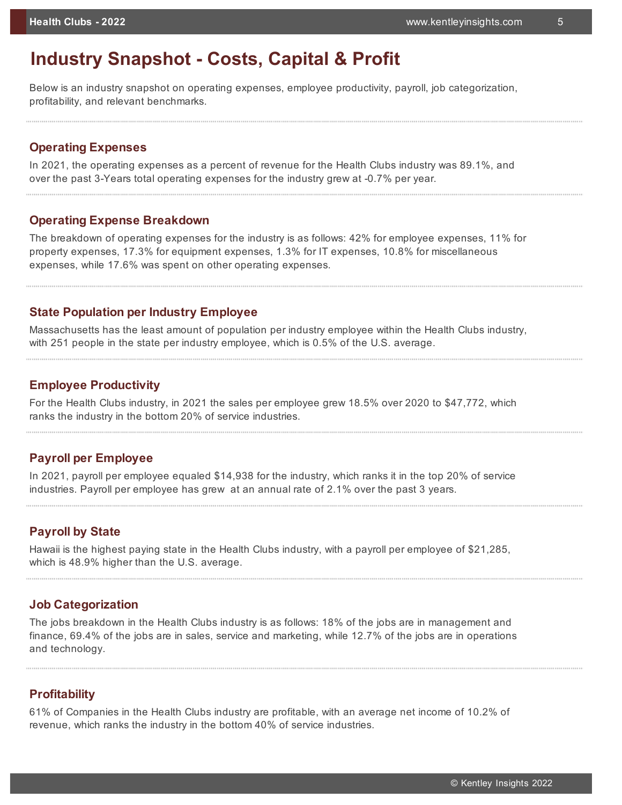# **Industry Snapshot - Costs, Capital & Profit**

Below is an industry snapshot on operating expenses, employee productivity, payroll, job categorization, profitability, and relevant benchmarks.

#### **Operating Expenses**

In 2021, the operating expenses as a percent of revenue for the Health Clubs industry was 89.1%, and over the past 3-Years total operating expenses for the industry grew at -0.7% per year.

#### **Operating Expense Breakdown**

The breakdown of operating expenses for the industry is as follows: 42% for employee expenses, 11% for property expenses, 17.3% for equipment expenses, 1.3% for IT expenses, 10.8% for miscellaneous expenses, while 17.6% was spent on other operating expenses.

#### **State Population per Industry Employee**

Massachusetts has the least amount of population per industry employee within the Health Clubs industry, with 251 people in the state per industry employee, which is 0.5% of the U.S. average.

#### **Employee Productivity**

For the Health Clubs industry, in 2021 the sales per employee grew 18.5% over 2020 to \$47,772, which ranks the industry in the bottom 20% of service industries.

#### **Payroll per Employee**

In 2021, payroll per employee equaled \$14,938 for the industry, which ranks it in the top 20% of service industries. Payroll per employee has grew at an annual rate of 2.1% over the past 3 years.

#### **Payroll by State**

Hawaii is the highest paying state in the Health Clubs industry, with a payroll per employee of \$21,285, which is 48.9% higher than the U.S. average.

#### **Job Categorization**

The jobs breakdown in the Health Clubs industry is as follows: 18% of the jobs are in management and finance, 69.4% of the jobs are in sales, service and marketing, while 12.7% of the jobs are in operations and technology.

#### **Profitability**

61% of Companies in the Health Clubs industry are profitable, with an average net income of 10.2% of revenue, which ranks the industry in the bottom 40% of service industries.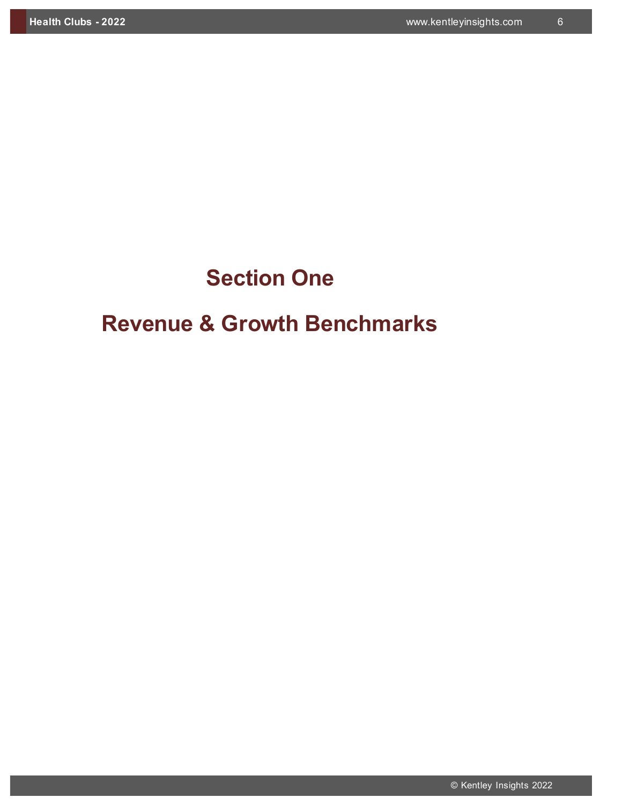# **Section One**

# **Revenue & Growth Benchmarks**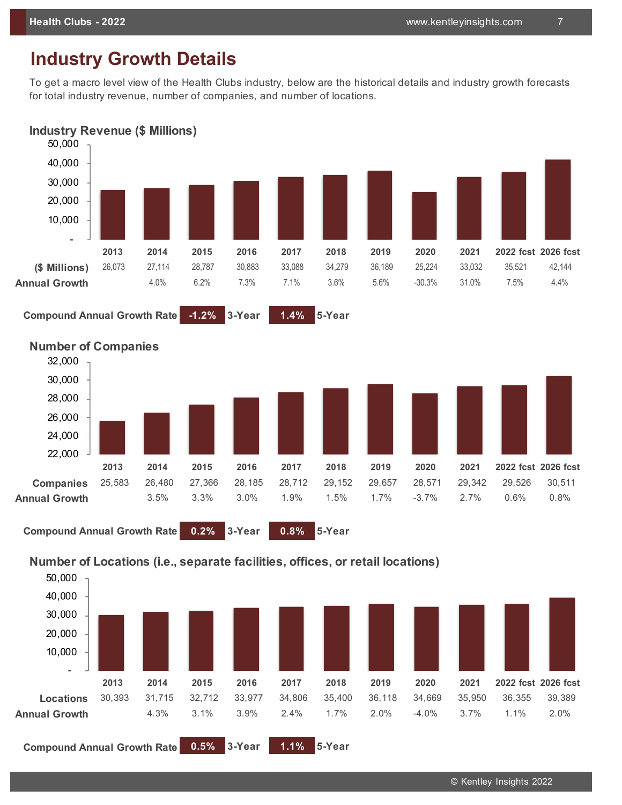# **Industry Growth Details**

To get a macro level view of the Health Clubs industry, below are the historical details and industry growth forecasts for total industry revenue, number of companies, and number of locations.





**Compound Annual Growth Rate 0.2% 3-Year 0.8% 5-Year**

#### **Number of Locations (i.e., separate facilities, offices, or retail locations)**



© Kentley Insights 2022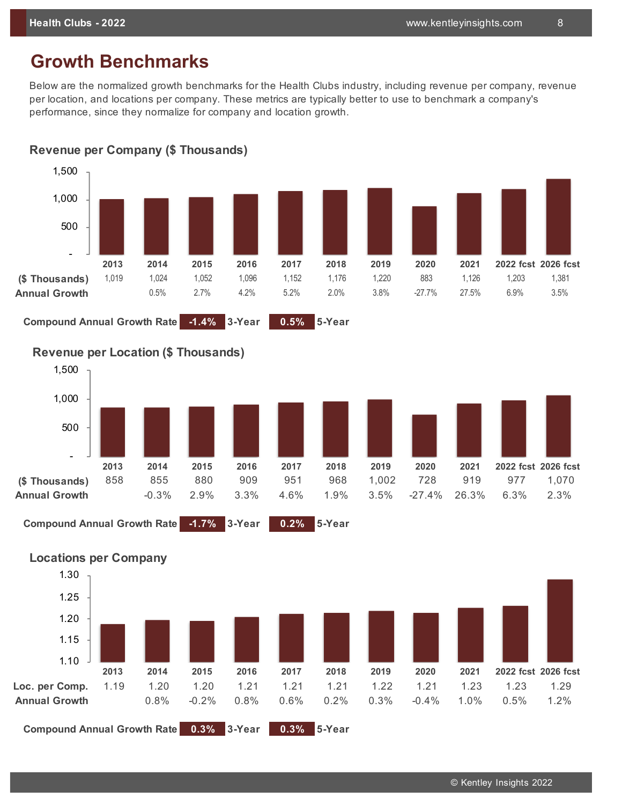# **Growth Benchmarks**

Below are the normalized growth benchmarks for the Health Clubs industry, including revenue per company, revenue per location, and locations per company. These metrics are typically better to use to benchmark a company's performance, since they normalize for company and location growth.





**Compound Annual Growth Rate -1.4% 3-Year 0.5% 5-Year**





**Compound Annual Growth Rate -1.7% 3-Year 0.2% 5-Year**

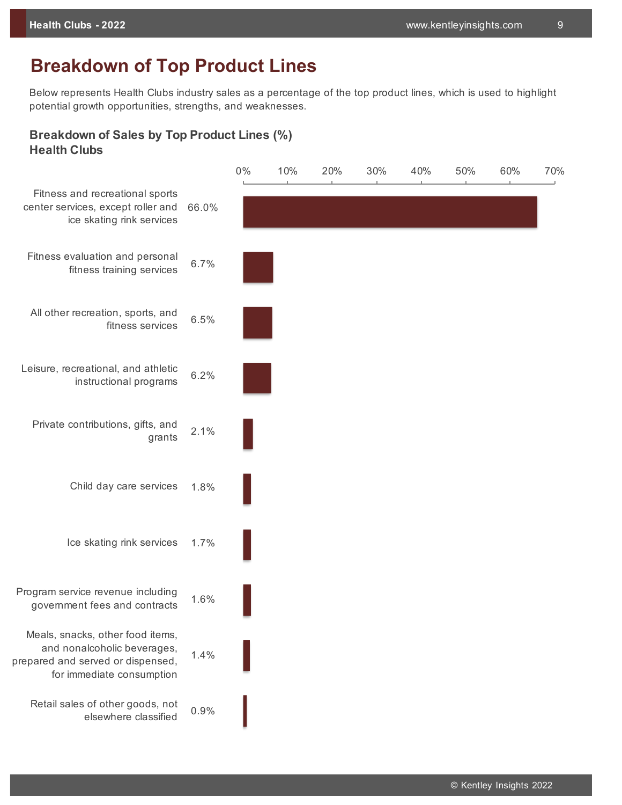# **Breakdown of Top Product Lines**

Below represents Health Clubs industry sales as a percentage of the top product lines, which is used to highlight potential growth opportunities, strengths, and weaknesses.

#### **Breakdown of Sales by Top Product Lines (%) Health Clubs**

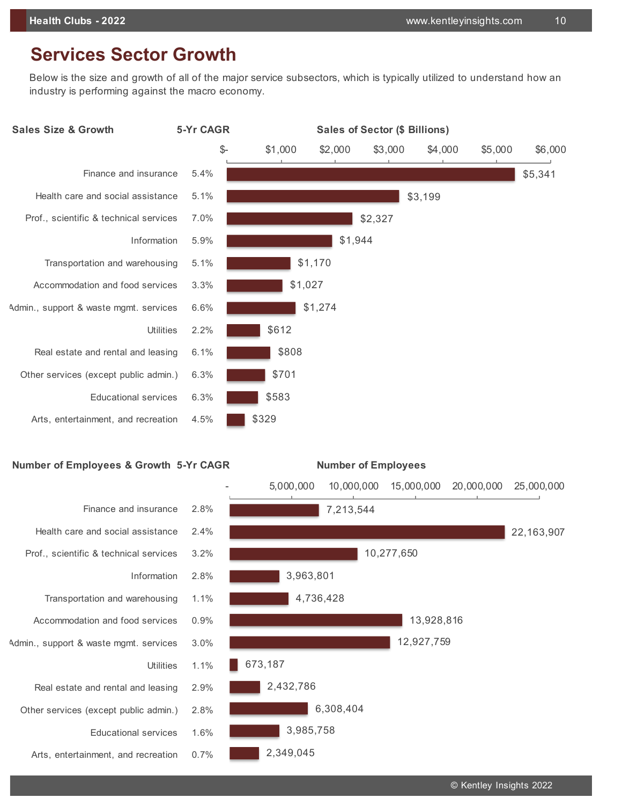# **Services Sector Growth**

Below is the size and growth of all of the major service subsectors, which is typically utilized to understand how an industry is performing against the macro economy.



## **Number of Employees & Growth 5-Yr CAGR Number of Employees**

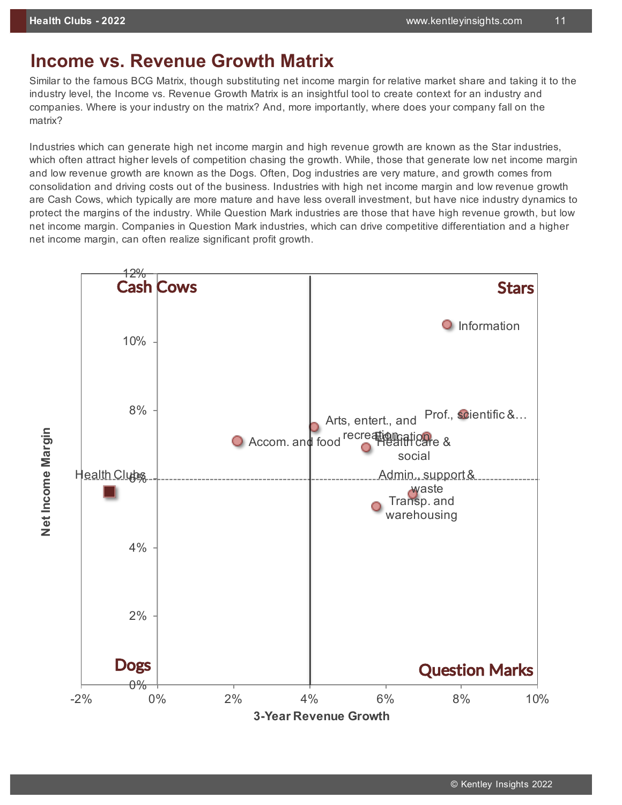# **Income vs. Revenue Growth Matrix**

Similar to the famous BCG Matrix, though substituting net income margin for relative market share and taking it to the industry level, the Income vs. Revenue Growth Matrix is an insightful tool to create context for an industry and companies. Where is your industry on the matrix? And, more importantly, where does your company fall on the matrix?

Industries which can generate high net income margin and high revenue growth are known as the Star industries, which often attract higher levels of competition chasing the growth. While, those that generate low net income margin and low revenue growth are known as the Dogs. Often, Dog industries are very mature, and growth comes from consolidation and driving costs out of the business. Industries with high net income margin and low revenue growth are Cash Cows, which typically are more mature and have less overall investment, but have nice industry dynamics to protect the margins of the industry. While Question Mark industries are those that have high revenue growth, but low net income margin. Companies in Question Mark industries, which can drive competitive differentiation and a higher net income margin, can often realize significant profit growth.

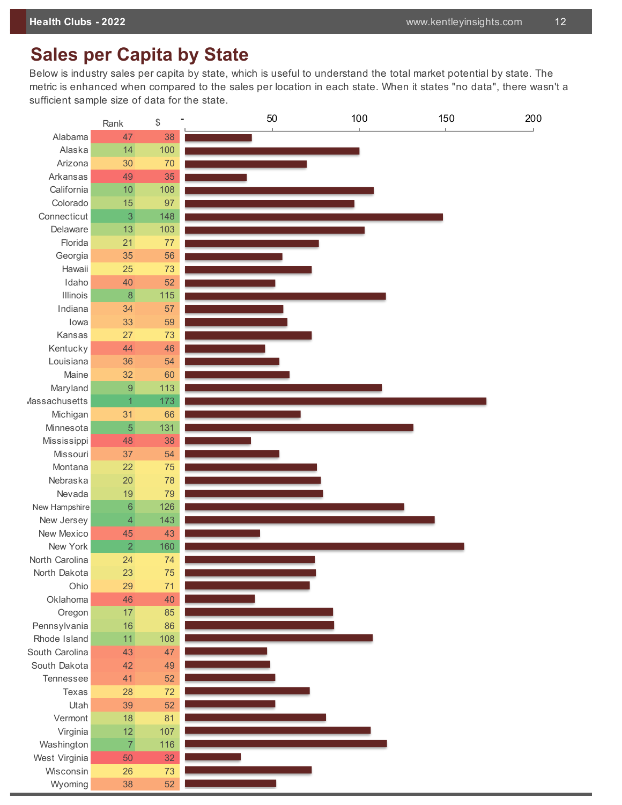# **Sales per Capita by State**

Below is industry sales per capita by state, which is useful to understand the total market potential by state. The metric is enhanced when compared to the sales per location in each state. When it states "no data", there wasn't a sufficient sample size of data for the state.

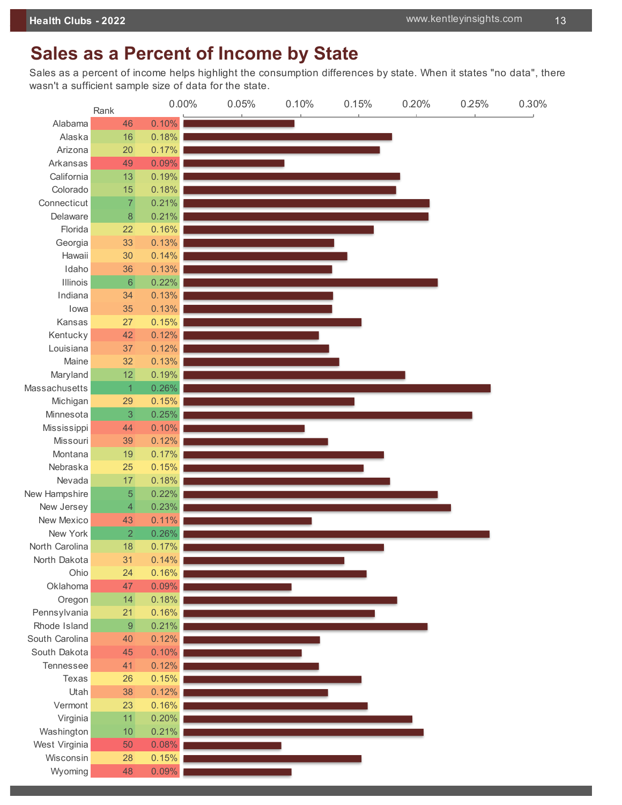# **Sales as a Percent of Income by State**

Sales as a percent of income helps highlight the consumption differences by state. When it states "no data", there wasn't a sufficient sample size of data for the state.

|                 | Rank           | 0.00% | 0.05% | 0.10% | 0.15% | 0.20% | 0.25% | 0.30% |
|-----------------|----------------|-------|-------|-------|-------|-------|-------|-------|
| Alabama         | 46             | 0.10% |       |       |       |       |       |       |
| Alaska          | 16             | 0.18% |       |       |       |       |       |       |
| Arizona         | 20             | 0.17% |       |       |       |       |       |       |
| Arkansas        | 49             | 0.09% |       |       |       |       |       |       |
| California      | 13             | 0.19% |       |       |       |       |       |       |
| Colorado        | 15             | 0.18% |       |       |       |       |       |       |
| Connecticut     | 7              | 0.21% |       |       |       |       |       |       |
| Delaware        | 8              | 0.21% |       |       |       |       |       |       |
| Florida         | 22             | 0.16% |       |       |       |       |       |       |
| Georgia         | 33             | 0.13% |       |       |       |       |       |       |
| Hawaii          | 30             | 0.14% |       |       |       |       |       |       |
| Idaho           | 36             | 0.13% |       |       |       |       |       |       |
| <b>Illinois</b> | 6              | 0.22% |       |       |       |       |       |       |
| Indiana         | 34             | 0.13% |       |       |       |       |       |       |
| lowa            | 35             | 0.13% |       |       |       |       |       |       |
| Kansas          | 27             | 0.15% |       |       |       |       |       |       |
| Kentucky        | 42             | 0.12% |       |       |       |       |       |       |
| Louisiana       | 37             | 0.12% |       |       |       |       |       |       |
| Maine           | 32             | 0.13% |       |       |       |       |       |       |
| Maryland        | 12             | 0.19% |       |       |       |       |       |       |
| Massachusetts   | 1              | 0.26% |       |       |       |       |       |       |
| Michigan        | 29             | 0.15% |       |       |       |       |       |       |
| Minnesota       | 3              | 0.25% |       |       |       |       |       |       |
| Mississippi     | 44             | 0.10% |       |       |       |       |       |       |
| Missouri        | 39             | 0.12% |       |       |       |       |       |       |
| Montana         | 19             | 0.17% |       |       |       |       |       |       |
| Nebraska        | 25             | 0.15% |       |       |       |       |       |       |
| Nevada          | 17             | 0.18% |       |       |       |       |       |       |
| New Hampshire   | 5              | 0.22% |       |       |       |       |       |       |
| New Jersey      | 4              | 0.23% |       |       |       |       |       |       |
| New Mexico      | 43             | 0.11% |       |       |       |       |       |       |
| New York        | $\overline{2}$ | 0.26% |       |       |       |       |       |       |
| North Carolina  | 18             | 0.17% |       |       |       |       |       |       |
| North Dakota    | 31             | 0.14% |       |       |       |       |       |       |
| Ohio            | 24             | 0.16% |       |       |       |       |       |       |
| Oklahoma        | 47             | 0.09% |       |       |       |       |       |       |
| Oregon          | 14             | 0.18% |       |       |       |       |       |       |
| Pennsylvania    | 21             | 0.16% |       |       |       |       |       |       |
| Rhode Island    | 9              | 0.21% |       |       |       |       |       |       |
| South Carolina  | 40             | 0.12% |       |       |       |       |       |       |
| South Dakota    | 45             | 0.10% |       |       |       |       |       |       |
| Tennessee       | 41             | 0.12% |       |       |       |       |       |       |
| Texas           | 26             | 0.15% |       |       |       |       |       |       |
| Utah            | 38             | 0.12% |       |       |       |       |       |       |
| Vermont         | 23             | 0.16% |       |       |       |       |       |       |
| Virginia        | 11             | 0.20% |       |       |       |       |       |       |
| Washington      | 10             | 0.21% |       |       |       |       |       |       |
| West Virginia   | 50             | 0.08% |       |       |       |       |       |       |
| Wisconsin       | 28             | 0.15% |       |       |       |       |       |       |
| Wyoming         | 48             | 0.09% |       |       |       |       |       |       |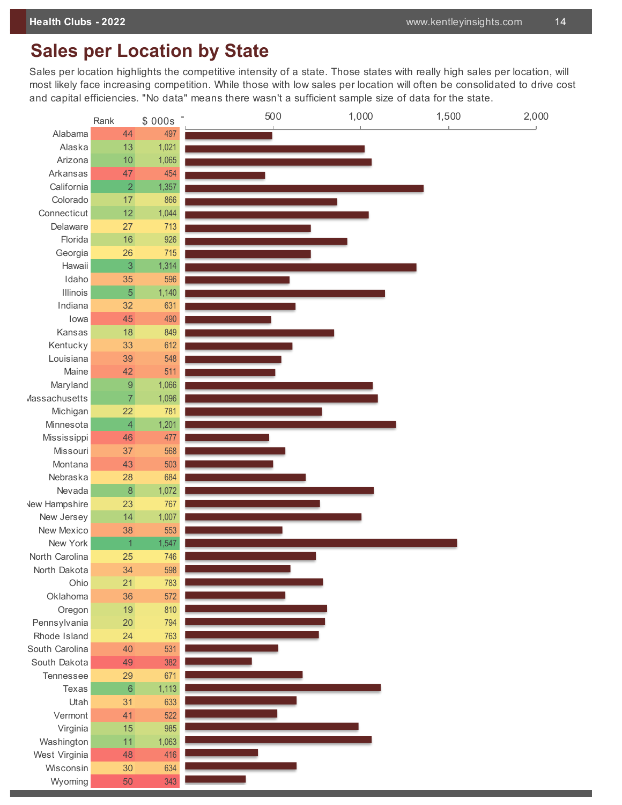# **Sales per Location by State**

Sales per location highlights the competitive intensity of a state. Those states with really high sales per location, will most likely face increasing competition. While those with low sales per location will often be consolidated to drive cost and capital efficiencies. "No data" means there wasn't a sufficient sample size of data for the state.

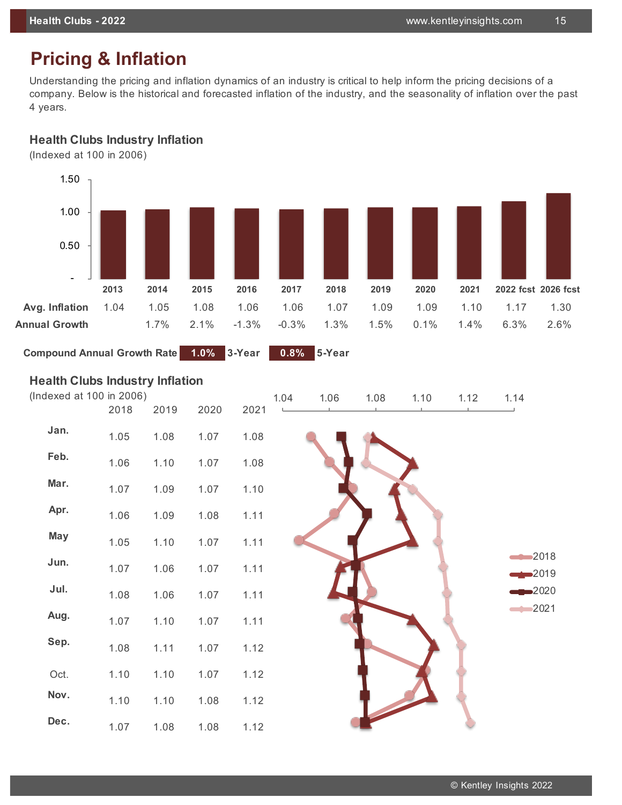# **Pricing & Inflation**

Understanding the pricing and inflation dynamics of an industry is critical to help inform the pricing decisions of a company. Below is the historical and forecasted inflation of the industry, and the seasonality of inflation over the past 4 years.

### **Health Clubs Industry Inflation**

(Indexed at 100 in 2006)



**Compound Annual Growth Rate 1.0% 3-Year 0.8% 5-Year**

#### **Health Clubs Industry Inflation**

| (Indexed at 100 in 2006) |      |      |      | 1.04 | 1.06 | 1.08 | 1.10 | 1.12 | 1.14                       |
|--------------------------|------|------|------|------|------|------|------|------|----------------------------|
|                          | 2018 | 2019 | 2020 | 2021 |      |      |      |      |                            |
| Jan.                     | 1.05 | 1.08 | 1.07 | 1.08 |      |      |      |      |                            |
| Feb.                     | 1.06 | 1.10 | 1.07 | 1.08 |      |      |      |      |                            |
| Mar.                     | 1.07 | 1.09 | 1.07 | 1.10 |      |      |      |      |                            |
| Apr.                     | 1.06 | 1.09 | 1.08 | 1.11 |      |      |      |      |                            |
| <b>May</b>               | 1.05 | 1.10 | 1.07 | 1.11 |      |      |      |      |                            |
| Jun.                     | 1.07 | 1.06 | 1.07 | 1.11 |      |      |      |      | 2018<br>$\rightarrow 2019$ |
| Jul.                     | 1.08 | 1.06 | 1.07 | 1.11 |      |      |      |      | $\blacktriangleright$ 2020 |
| Aug.                     | 1.07 | 1.10 | 1.07 | 1.11 |      |      |      |      | 2021                       |
| Sep.                     | 1.08 | 1.11 | 1.07 | 1.12 |      |      |      |      |                            |
| Oct.                     | 1.10 | 1.10 | 1.07 | 1.12 |      |      |      |      |                            |
| Nov.                     | 1.10 | 1.10 | 1.08 | 1.12 |      |      |      |      |                            |
| Dec.                     | 1.07 | 1.08 | 1.08 | 1.12 |      |      |      |      |                            |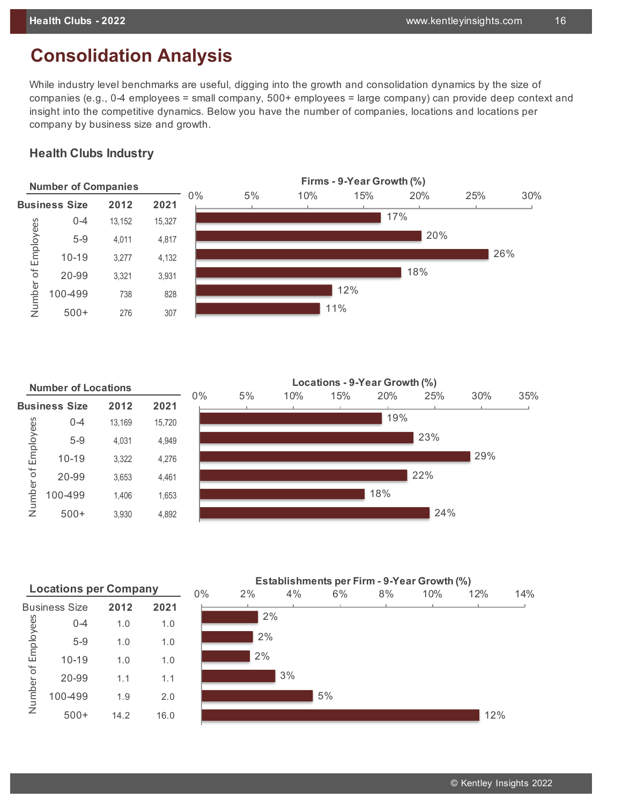# **Consolidation Analysis**

While industry level benchmarks are useful, digging into the growth and consolidation dynamics by the size of companies (e.g., 0-4 employees = small company, 500+ employees = large company) can provide deep context and insight into the competitive dynamics. Below you have the number of companies, locations and locations per company by business size and growth.

#### **Health Clubs Industry**



|                     | <b>Number of Locations</b> |        |        |       |    |     | Locations - 9-Year Growth (%) |     |     |     |     |
|---------------------|----------------------------|--------|--------|-------|----|-----|-------------------------------|-----|-----|-----|-----|
|                     | <b>Business Size</b>       | 2012   | 2021   | $0\%$ | 5% | 10% | 15%                           | 20% | 25% | 30% | 35% |
|                     | $0 - 4$                    | 13,169 | 15,720 |       |    |     |                               | 19% |     |     |     |
| Number of Employees | $5 - 9$                    | 4,031  | 4,949  |       |    |     |                               |     | 23% |     |     |
|                     | $10 - 19$                  | 3,322  | 4,276  |       |    |     |                               |     |     | 29% |     |
|                     | 20-99                      | 3,653  | 4,461  |       |    |     |                               |     | 22% |     |     |
|                     | 100-499                    | 1,406  | 1,653  |       |    |     |                               | 18% |     |     |     |
|                     | $500+$                     | 3,930  | 4,892  |       |    |     |                               |     | 24% |     |     |
|                     |                            |        |        |       |    |     |                               |     |     |     |     |

|                     | <b>Locations per Company</b> | $0\%$ | 2%   |  |  |
|---------------------|------------------------------|-------|------|--|--|
|                     | Business Size                | 2012  | 2021 |  |  |
|                     | $0 - 4$                      | 1.0   | 1.0  |  |  |
|                     | $5 - 9$                      | 1.0   | 1.0  |  |  |
| Number of Employees | $10 - 19$                    | 1.0   | 1.0  |  |  |
|                     | 20-99                        | 1.1   | 1.1  |  |  |
|                     | 100-499                      | 1.9   | 2.0  |  |  |
|                     | $500+$                       | 14.2  | 16.0 |  |  |

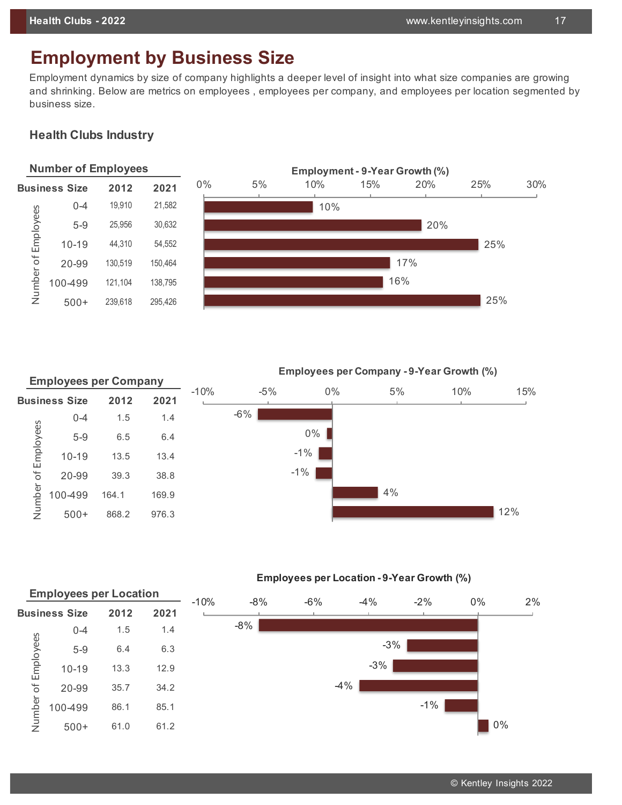# **Employment by Business Size**

Employment dynamics by size of company highlights a deeper level of insight into what size companies are growing and shrinking. Below are metrics on employees , employees per company, and employees per location segmented by business size.

## **Health Clubs Industry**



|                     | <b>Employees per Company</b> |       |       |        |        |        | <b>Employees per Company - 9-Year Growth (%)</b> |     |     |
|---------------------|------------------------------|-------|-------|--------|--------|--------|--------------------------------------------------|-----|-----|
|                     | <b>Business Size</b>         | 2012  | 2021  | $-10%$ | $-5%$  | $0\%$  | 5%                                               | 10% | 15% |
|                     | $0 - 4$                      | 1.5   | 1.4   |        | $-6\%$ |        |                                                  |     |     |
| Number of Employees | $5-9$                        | 6.5   | 6.4   |        |        | $0\%$  |                                                  |     |     |
|                     | $10 - 19$                    | 13.5  | 13.4  |        |        | $-1\%$ |                                                  |     |     |
|                     | 20-99                        | 39.3  | 38.8  |        |        | $-1\%$ |                                                  |     |     |
|                     | 100-499                      | 164.1 | 169.9 |        |        |        | 4%                                               |     |     |
|                     | $500+$                       | 868.2 | 976.3 |        |        |        |                                                  |     | 12% |

**Employees per Location - 9-Year Growth (%)**

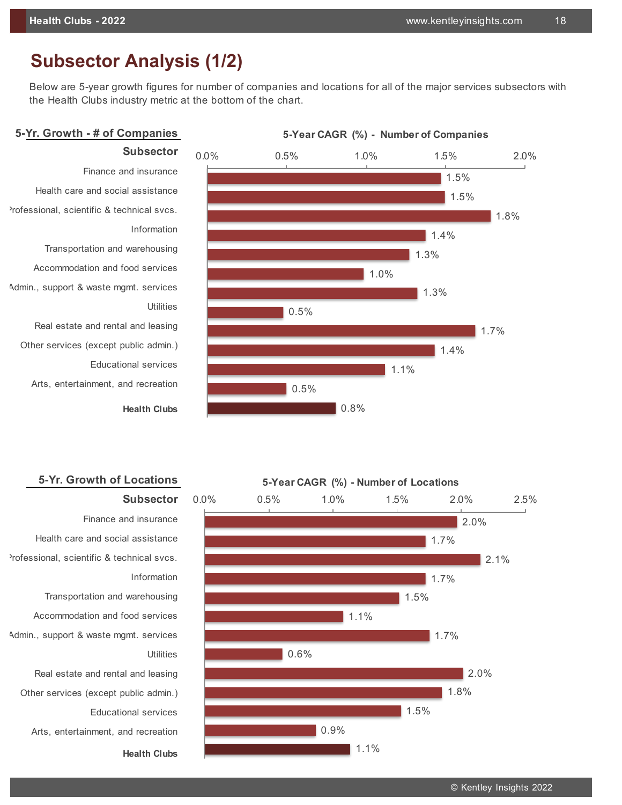# **Subsector Analysis (1/2)**

**Subsector**

Below are 5-year growth figures for number of companies and locations for all of the major services subsectors with the Health Clubs industry metric at the bottom of the chart.

## **5-Yr. Growth - # of Companies**



Finance and insurance Health care and social assistance Professional, scientific & technical svcs. **Information** Transportation and warehousing Accommodation and food services Admin., support & waste mgmt. services Real estate and rental and leasing Other services (except public admin.) Educational services

Arts, entertainment, and recreation

**Health Clubs**

**Subsector**

## **5-Yr. Growth of Locations**



Finance and insurance Health care and social assistance Professional, scientific & technical svcs. Information

Transportation and warehousing Accommodation and food services Admin., support & waste mgmt. services

Real estate and rental and leasing Other services (except public admin.) Educational services

Arts, entertainment, and recreation

**Health Clubs**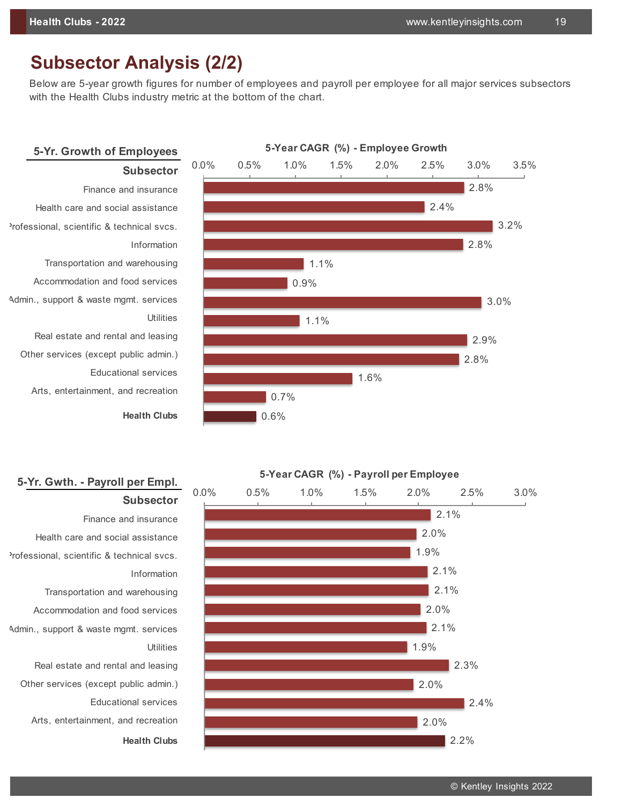# **Subsector Analysis (2/2)**

Below are 5-year growth figures for number of employees and payroll per employee for all major services subsectors with the Health Clubs industry metric at the bottom of the chart.

## **5-Yr. Growth of Employees Subsector**



**Health Clubs**



# **5-Yr. Gwth. - Payroll per Empl.**

**Subsector** Finance and insurance Health care and social assistance Professional, scientific & technical svcs. **Information** Transportation and warehousing Accommodation and food services Admin., support & waste mgmt. services Real estate and rental and leasing Other services (except public admin.) Educational services Arts, entertainment, and recreation

**Health Clubs**



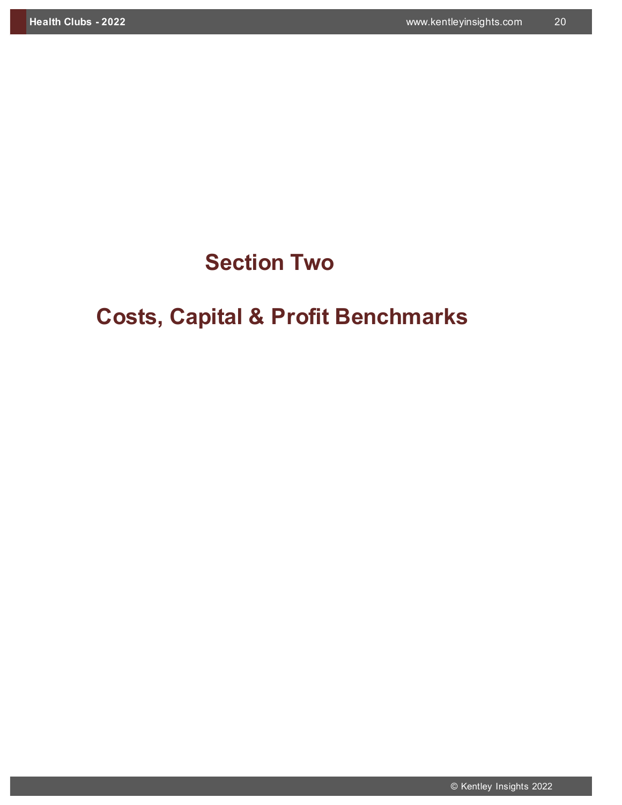# **Section Two**

# **Costs, Capital & Profit Benchmarks**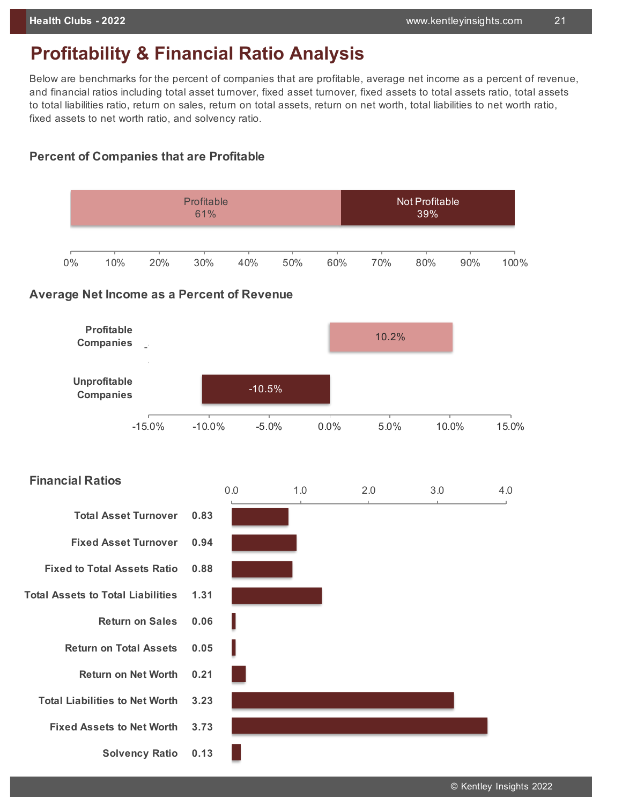# **Profitability & Financial Ratio Analysis**

Below are benchmarks for the percent of companies that are profitable, average net income as a percent of revenue, and financial ratios including total asset turnover, fixed asset turnover, fixed assets to total assets ratio, total assets to total liabilities ratio, return on sales, return on total assets, return on net worth, total liabilities to net worth ratio, fixed assets to net worth ratio, and solvency ratio.

## **Percent of Companies that are Profitable**

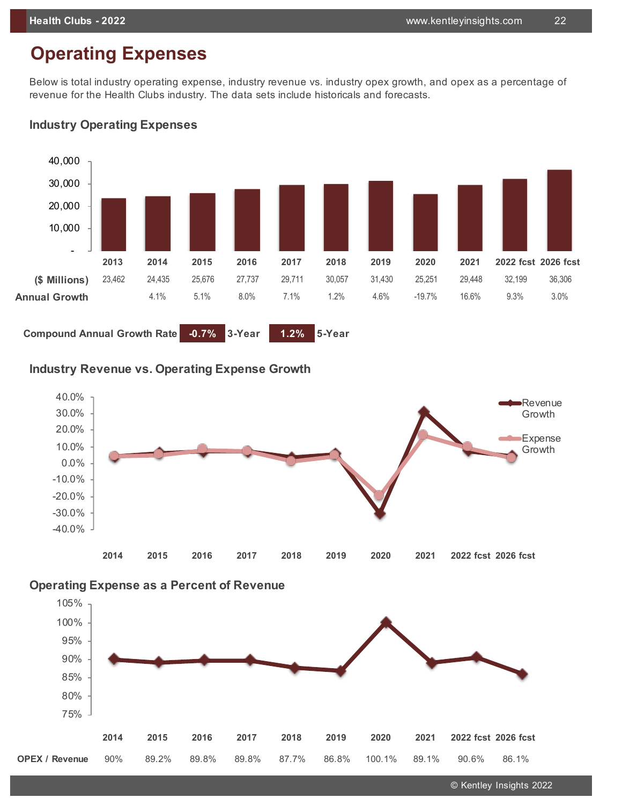# **Operating Expenses**

Below is total industry operating expense, industry revenue vs. industry opex growth, and opex as a percentage of revenue for the Health Clubs industry. The data sets include historicals and forecasts.

# **2013 2014 2015 2016 2017 2018 2019 2020 2021 2022 fcst 2026 fcst (\$ Millions)** 23,462 24,435 25,676 27,737 29,711 30,057 31,430 25,251 29,448 32,199 36,306 **Annual Growth** 4.1% 5.1% 8.0% 7.1% 1.2% 4.6% -19.7% 16.6% 9.3% 3.0% **Compound Annual Growth Rate -0.7% 3-Year 1.2% 5-Year** - 10,000 20,000 30,000 40,000

## **Industry Operating Expenses**

**Industry Revenue vs. Operating Expense Growth**







© Kentley Insights 2022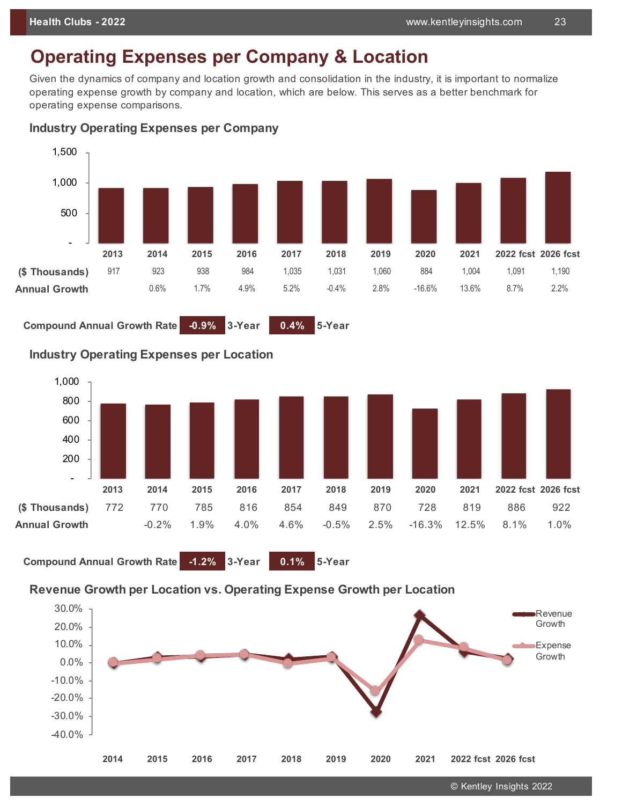# **Operating Expenses per Company & Location**

Given the dynamics of company and location growth and consolidation in the industry, it is important to normalize operating expense growth by company and location, which are below. This serves as a better benchmark for operating expense comparisons.



#### **Industry Operating Expenses per Company**

**Compound Annual Growth Rate -0.9% 3-Year 0.4% 5-Year**

### **Industry Operating Expenses per Location**



**Compound Annual Growth Rate -1.2% 3-Year 0.1% 5-Year**

## **Revenue Growth per Location vs. Operating Expense Growth per Location**

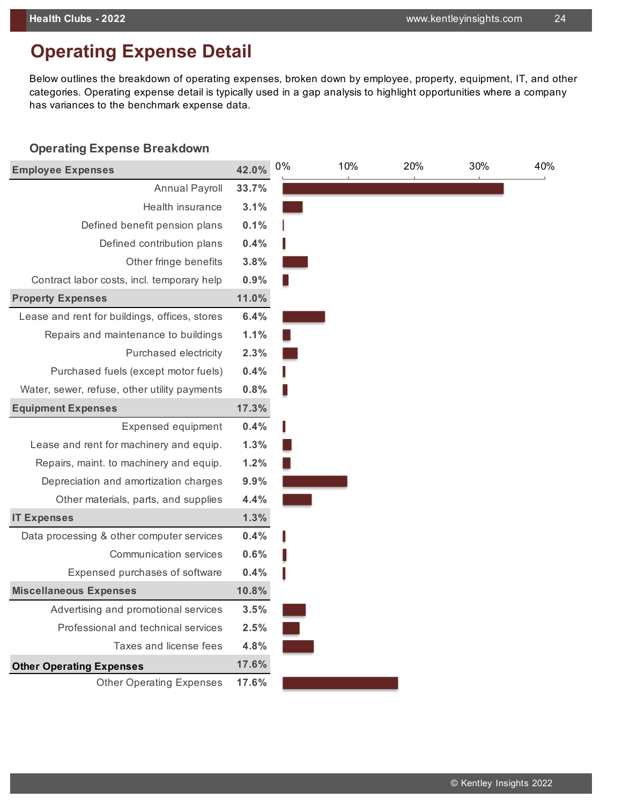# **Operating Expense Detail**

Below outlines the breakdown of operating expenses, broken down by employee, property, equipment, IT, and other categories. Operating expense detail is typically used in a gap analysis to highlight opportunities where a company has variances to the benchmark expense data.

#### **Operating Expense Breakdown**

| <b>Employee Expenses</b>                      | 42.0% | 0% | 10% | 20% | 30% | 40% |
|-----------------------------------------------|-------|----|-----|-----|-----|-----|
| <b>Annual Payroll</b>                         | 33.7% |    |     |     |     |     |
| Health insurance                              | 3.1%  |    |     |     |     |     |
| Defined benefit pension plans                 | 0.1%  |    |     |     |     |     |
| Defined contribution plans                    | 0.4%  |    |     |     |     |     |
| Other fringe benefits                         | 3.8%  |    |     |     |     |     |
| Contract labor costs, incl. temporary help    | 0.9%  |    |     |     |     |     |
| <b>Property Expenses</b>                      | 11.0% |    |     |     |     |     |
| Lease and rent for buildings, offices, stores | 6.4%  |    |     |     |     |     |
| Repairs and maintenance to buildings          | 1.1%  |    |     |     |     |     |
| Purchased electricity                         | 2.3%  |    |     |     |     |     |
| Purchased fuels (except motor fuels)          | 0.4%  |    |     |     |     |     |
| Water, sewer, refuse, other utility payments  | 0.8%  |    |     |     |     |     |
| <b>Equipment Expenses</b>                     | 17.3% |    |     |     |     |     |
| Expensed equipment                            | 0.4%  |    |     |     |     |     |
| Lease and rent for machinery and equip.       | 1.3%  |    |     |     |     |     |
| Repairs, maint. to machinery and equip.       | 1.2%  |    |     |     |     |     |
| Depreciation and amortization charges         | 9.9%  |    |     |     |     |     |
| Other materials, parts, and supplies          | 4.4%  |    |     |     |     |     |
| <b>IT Expenses</b>                            | 1.3%  |    |     |     |     |     |
| Data processing & other computer services     | 0.4%  |    |     |     |     |     |
| Communication services                        | 0.6%  |    |     |     |     |     |
| Expensed purchases of software                | 0.4%  |    |     |     |     |     |
| <b>Miscellaneous Expenses</b>                 | 10.8% |    |     |     |     |     |
| Advertising and promotional services          | 3.5%  |    |     |     |     |     |
| Professional and technical services           | 2.5%  |    |     |     |     |     |
| Taxes and license fees                        | 4.8%  |    |     |     |     |     |
| <b>Other Operating Expenses</b>               | 17.6% |    |     |     |     |     |
| <b>Other Operating Expenses</b>               | 17.6% |    |     |     |     |     |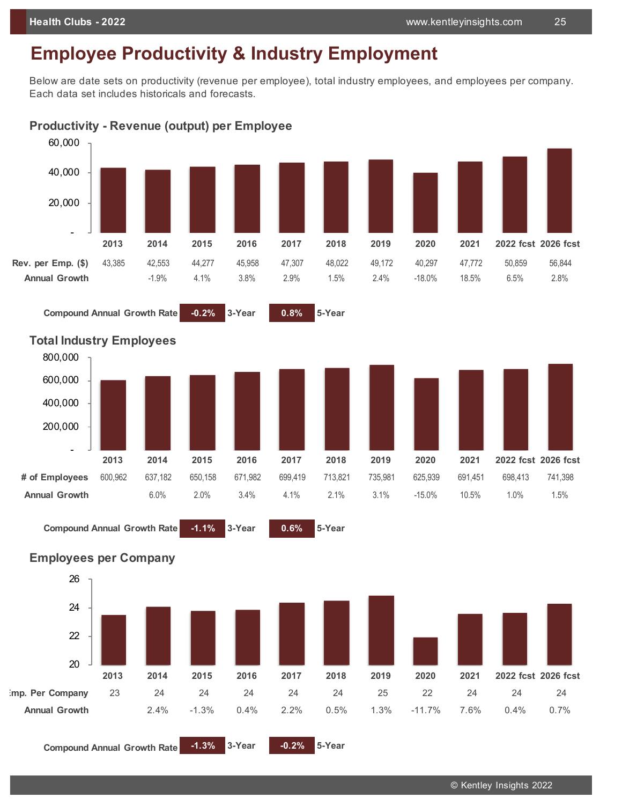# **Employee Productivity & Industry Employment**

Below are date sets on productivity (revenue per employee), total industry employees, and employees per company. Each data set includes historicals and forecasts.

**Productivity - Revenue (output) per Employee**



**Compound Annual Growth Rate -0.2% 3-Year 0.8% 5-Year** 



#### **Total Industry Employees**





© Kentley Insights 2022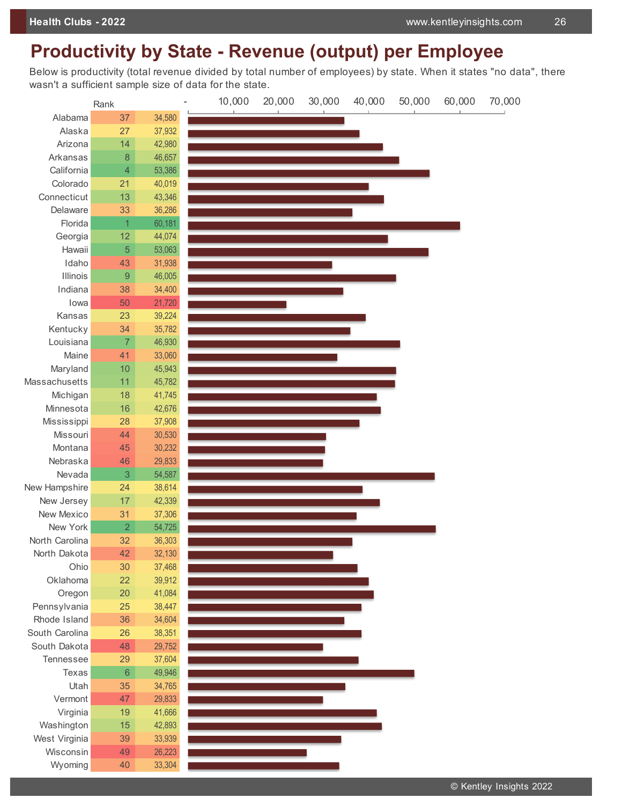# **Productivity by State - Revenue (output) per Employee**

Below is productivity (total revenue divided by total number of employees) by state. When it states "no data", there wasn't a sufficient sample size of data for the state.

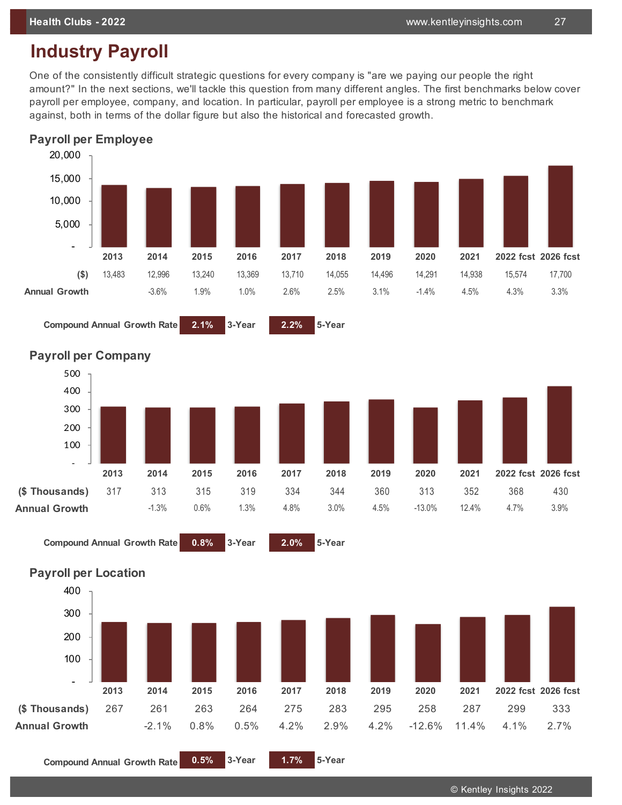# **Industry Payroll**

One of the consistently difficult strategic questions for every company is "are we paying our people the right amount?" In the next sections, we'll tackle this question from many different angles. The first benchmarks below cover payroll per employee, company, and location. In particular, payroll per employee is a strong metric to benchmark against, both in terms of the dollar figure but also the historical and forecasted growth.



**Compound Annual Growth Rate 2.1%** 3-Year **2.2%** 5-Year



#### **Payroll per Company**





**Compound Annual Growth Rate 0.5% 3-Year 1.7% 5-Year**

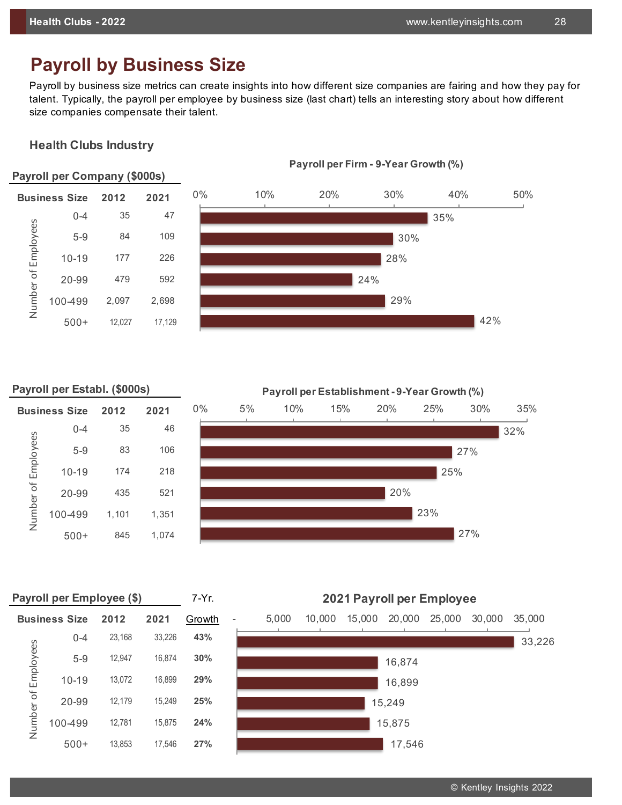# **Payroll by Business Size**

Payroll by business size metrics can create insights into how different size companies are fairing and how they pay for talent. Typically, the payroll per employee by business size (last chart) tells an interesting story about how different size companies compensate their talent.

#### **Health Clubs Industry**



#### **Payroll per Establ. (\$000s)**

Number of Employees

Number of Employees

| <b>Business Size</b> |           | 2012  | 2021  | $0\%$ | 5% | 10% |
|----------------------|-----------|-------|-------|-------|----|-----|
|                      | $0 - 4$   | 35    | 46    |       |    |     |
| Number of Employees  | $5 - 9$   | 83    | 106   |       |    |     |
|                      | $10 - 19$ | 174   | 218   |       |    |     |
|                      | 20-99     | 435   | 521   |       |    |     |
|                      | 100-499   | 1,101 | 1,351 |       |    |     |
|                      | $500+$    | 845   | 1,074 |       |    |     |



|           | Payroll per Employee (\$) |        | $7-Yr$ . |        |       |
|-----------|---------------------------|--------|----------|--------|-------|
|           | <b>Business Size</b>      | 2012   | 2021     | Growth | 5,000 |
|           | $0 - 4$                   | 23,168 | 33,226   | 43%    |       |
| Employees | $5-9$                     | 12,947 | 16.874   | 30%    |       |
|           | $10 - 19$                 | 13,072 | 16.899   | 29%    |       |
|           | 20-99                     | 12,179 | 15.249   | 25%    |       |
| Number of | 100-499                   | 12,781 | 15,875   | 24%    |       |
|           | $500+$                    | 13853  | 17546    | 27%    |       |

**2021 Payroll per Employee**



2021 Payroll per Employee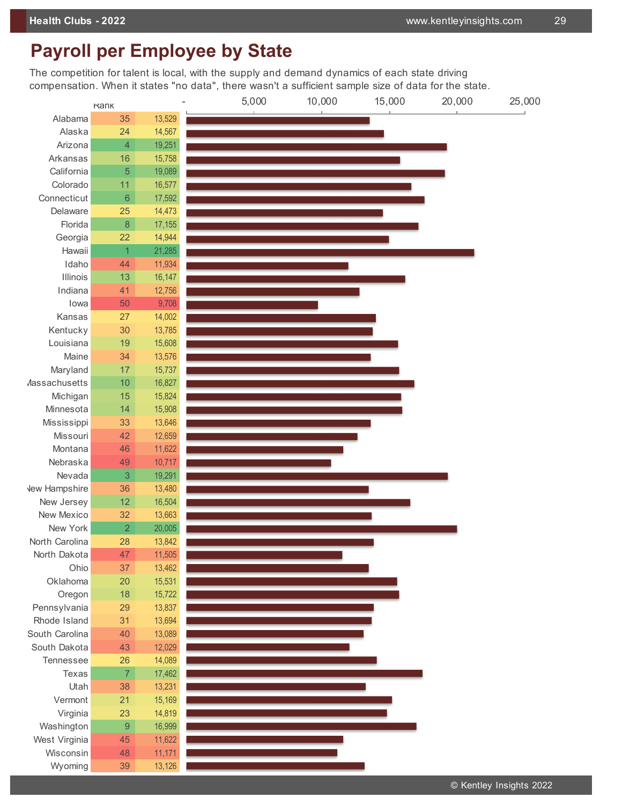# **Payroll per Employee by State**

The competition for talent is local, with the supply and demand dynamics of each state driving compensation. When it states "no data", there wasn't a sufficient sample size of data for the state.

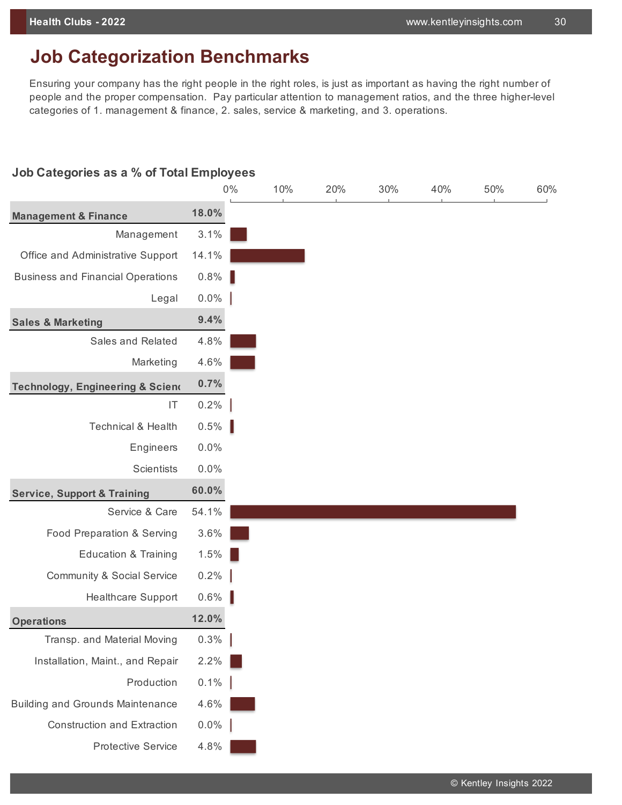# **Job Categorization Benchmarks**

Ensuring your company has the right people in the right roles, is just as important as having the right number of people and the proper compensation. Pay particular attention to management ratios, and the three higher-level categories of 1. management & finance, 2. sales, service & marketing, and 3. operations.

#### **Job Categories as a % of Total Employees**

|                                          |         | $0\%$ | 10% | 20% | 30% | 40% | 50% | 60% |
|------------------------------------------|---------|-------|-----|-----|-----|-----|-----|-----|
| <b>Management &amp; Finance</b>          | 18.0%   |       |     |     |     |     |     |     |
| Management                               | 3.1%    |       |     |     |     |     |     |     |
| Office and Administrative Support        | 14.1%   |       |     |     |     |     |     |     |
| <b>Business and Financial Operations</b> | 0.8%    |       |     |     |     |     |     |     |
| Legal                                    | $0.0\%$ |       |     |     |     |     |     |     |
| <b>Sales &amp; Marketing</b>             | 9.4%    |       |     |     |     |     |     |     |
| Sales and Related                        | 4.8%    |       |     |     |     |     |     |     |
| Marketing                                | 4.6%    |       |     |     |     |     |     |     |
| Technology, Engineering & Sciend         | 0.7%    |       |     |     |     |     |     |     |
| $\ensuremath{\mathsf{IT}}$               | 0.2%    |       |     |     |     |     |     |     |
| <b>Technical &amp; Health</b>            | 0.5%    |       |     |     |     |     |     |     |
| Engineers                                | 0.0%    |       |     |     |     |     |     |     |
| <b>Scientists</b>                        | 0.0%    |       |     |     |     |     |     |     |
| <b>Service, Support &amp; Training</b>   | 60.0%   |       |     |     |     |     |     |     |
| Service & Care                           | 54.1%   |       |     |     |     |     |     |     |
| Food Preparation & Serving               | 3.6%    |       |     |     |     |     |     |     |
| <b>Education &amp; Training</b>          | 1.5%    |       |     |     |     |     |     |     |
| <b>Community &amp; Social Service</b>    | 0.2%    |       |     |     |     |     |     |     |
| Healthcare Support                       | 0.6%    |       |     |     |     |     |     |     |
| <b>Operations</b>                        | 12.0%   |       |     |     |     |     |     |     |
| Transp. and Material Moving              | $0.3\%$ |       |     |     |     |     |     |     |
| Installation, Maint., and Repair         | 2.2%    |       |     |     |     |     |     |     |
| Production                               | 0.1%    |       |     |     |     |     |     |     |
| <b>Building and Grounds Maintenance</b>  | 4.6%    |       |     |     |     |     |     |     |
| <b>Construction and Extraction</b>       | $0.0\%$ |       |     |     |     |     |     |     |
| <b>Protective Service</b>                | 4.8%    |       |     |     |     |     |     |     |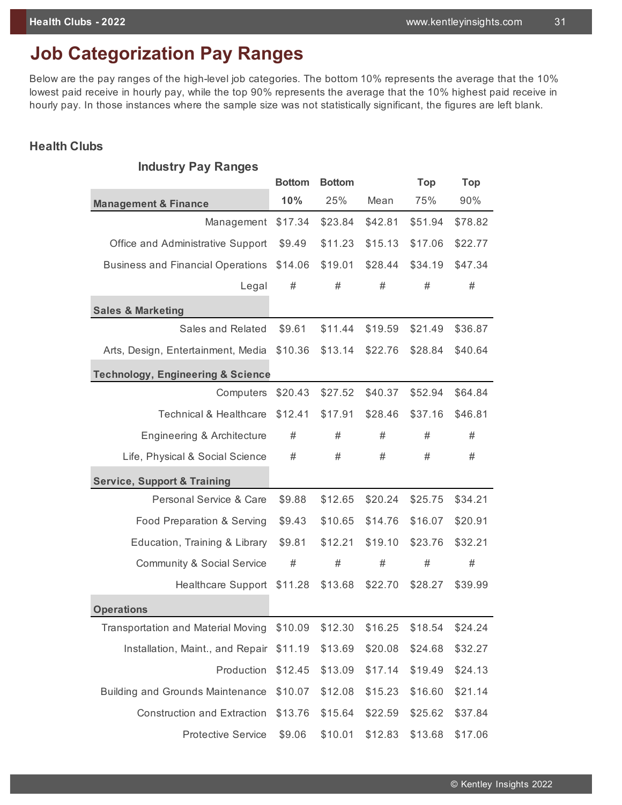# **Job Categorization Pay Ranges**

Below are the pay ranges of the high-level job categories. The bottom 10% represents the average that the 10% lowest paid receive in hourly pay, while the top 90% represents the average that the 10% highest paid receive in hourly pay. In those instances where the sample size was not statistically significant, the figures are left blank.

#### **Health Clubs**

| <b>Industry Pay Ranges</b>                   |               |               |         |         |         |
|----------------------------------------------|---------------|---------------|---------|---------|---------|
|                                              | <b>Bottom</b> | <b>Bottom</b> |         | Top     | Top     |
| <b>Management &amp; Finance</b>              | 10%           | 25%           | Mean    | 75%     | 90%     |
| Management                                   | \$17.34       | \$23.84       | \$42.81 | \$51.94 | \$78.82 |
| Office and Administrative Support            | \$9.49        | \$11.23       | \$15.13 | \$17.06 | \$22.77 |
| <b>Business and Financial Operations</b>     | \$14.06       | \$19.01       | \$28.44 | \$34.19 | \$47.34 |
| Legal                                        | #             | #             | #       | #       | $\#$    |
| <b>Sales &amp; Marketing</b>                 |               |               |         |         |         |
| Sales and Related                            | \$9.61        | \$11.44       | \$19.59 | \$21.49 | \$36.87 |
| Arts, Design, Entertainment, Media           | \$10.36       | \$13.14       | \$22.76 | \$28.84 | \$40.64 |
| <b>Technology, Engineering &amp; Science</b> |               |               |         |         |         |
| Computers                                    | \$20.43       | \$27.52       | \$40.37 | \$52.94 | \$64.84 |
| <b>Technical &amp; Healthcare</b>            | \$12.41       | \$17.91       | \$28.46 | \$37.16 | \$46.81 |
| Engineering & Architecture                   | #             | #             | #       | #       | #       |
| Life, Physical & Social Science              | #             | #             | #       | $\#$    | $\#$    |
| <b>Service, Support &amp; Training</b>       |               |               |         |         |         |
| Personal Service & Care                      | \$9.88        | \$12.65       | \$20.24 | \$25.75 | \$34.21 |
| Food Preparation & Serving                   | \$9.43        | \$10.65       | \$14.76 | \$16.07 | \$20.91 |
| Education, Training & Library                | \$9.81        | \$12.21       | \$19.10 | \$23.76 | \$32.21 |
| <b>Community &amp; Social Service</b>        | $\#$          | #             | $\#$    | #       | $\#$    |
|                                              |               |               |         |         |         |
| Healthcare Support \$11.28                   |               | \$13.68       | \$22.70 | \$28.27 | \$39.99 |
| <b>Operations</b>                            |               |               |         |         |         |
| <b>Transportation and Material Moving</b>    | \$10.09       | \$12.30       | \$16.25 | \$18.54 | \$24.24 |
| Installation, Maint., and Repair             | \$11.19       | \$13.69       | \$20.08 | \$24.68 | \$32.27 |
| Production                                   | \$12.45       | \$13.09       | \$17.14 | \$19.49 | \$24.13 |
| <b>Building and Grounds Maintenance</b>      | \$10.07       | \$12.08       | \$15.23 | \$16.60 | \$21.14 |
| Construction and Extraction                  | \$13.76       | \$15.64       | \$22.59 | \$25.62 | \$37.84 |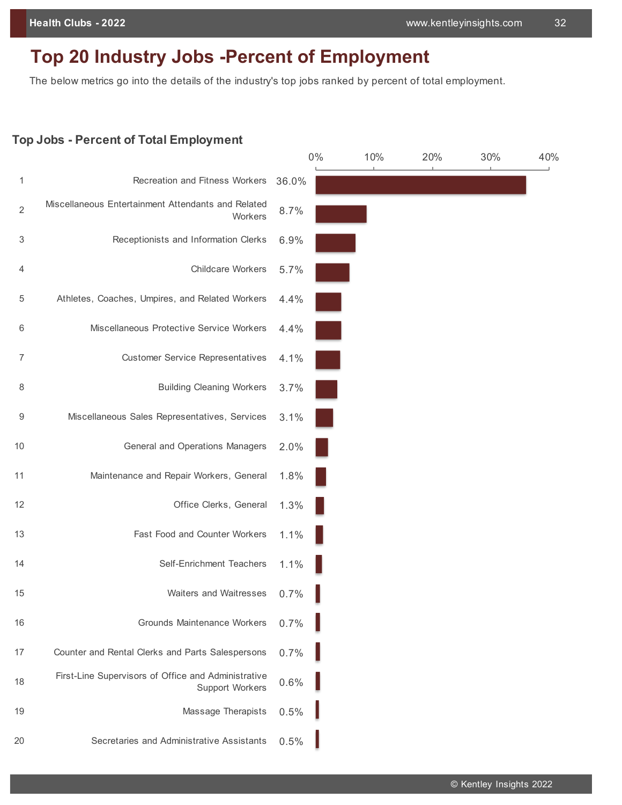# **Top 20 Industry Jobs -Percent of Employment**

The below metrics go into the details of the industry's top jobs ranked by percent of total employment.

#### **Top Jobs - Percent of Total Employment**

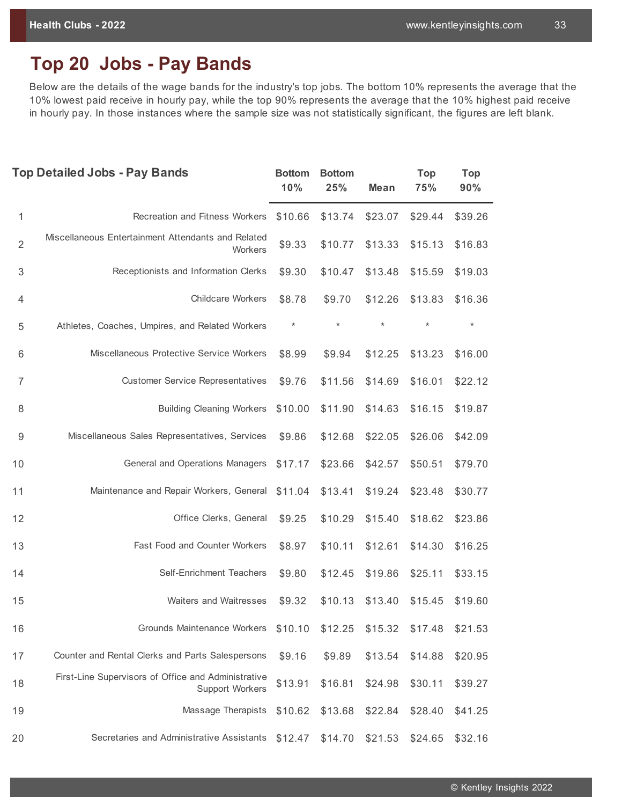# **Top 20 Jobs - Pay Bands**

Below are the details of the wage bands for the industry's top jobs. The bottom 10% represents the average that the 10% lowest paid receive in hourly pay, while the top 90% represents the average that the 10% highest paid receive in hourly pay. In those instances where the sample size was not statistically significant, the figures are left blank.

|                           | <b>Top Detailed Jobs - Pay Bands</b>                                          | <b>Bottom</b><br>10% | <b>Bottom</b><br>25% | <b>Mean</b> | <b>Top</b><br>75% | <b>Top</b><br>90% |
|---------------------------|-------------------------------------------------------------------------------|----------------------|----------------------|-------------|-------------------|-------------------|
| 1                         | <b>Recreation and Fitness Workers</b>                                         | \$10.66              | \$13.74              | \$23.07     | \$29.44           | \$39.26           |
| $\overline{2}$            | Miscellaneous Entertainment Attendants and Related<br>Workers                 | \$9.33               | \$10.77              | \$13.33     | \$15.13           | \$16.83           |
| $\ensuremath{\mathsf{3}}$ | Receptionists and Information Clerks                                          | \$9.30               | \$10.47              | \$13.48     | \$15.59           | \$19.03           |
| 4                         | <b>Childcare Workers</b>                                                      | \$8.78               | \$9.70               | \$12.26     | \$13.83           | \$16.36           |
| 5                         | Athletes, Coaches, Umpires, and Related Workers                               | $\star$              | $\star$              | $\star$     | $\star$           | $\star$           |
| 6                         | Miscellaneous Protective Service Workers                                      | \$8.99               | \$9.94               | \$12.25     | \$13.23           | \$16.00           |
| $\overline{7}$            | <b>Customer Service Representatives</b>                                       | \$9.76               | \$11.56              | \$14.69     | \$16.01           | \$22.12           |
| 8                         | <b>Building Cleaning Workers</b>                                              | \$10.00              | \$11.90              | \$14.63     | \$16.15           | \$19.87           |
| $9\,$                     | Miscellaneous Sales Representatives, Services                                 | \$9.86               | \$12.68              | \$22.05     | \$26.06           | \$42.09           |
| 10                        | General and Operations Managers                                               | \$17.17              | \$23.66              | \$42.57     | \$50.51           | \$79.70           |
| 11                        | Maintenance and Repair Workers, General                                       | \$11.04              | \$13.41              | \$19.24     | \$23.48           | \$30.77           |
| 12                        | Office Clerks, General                                                        | \$9.25               | \$10.29              | \$15.40     | \$18.62           | \$23.86           |
| 13                        | Fast Food and Counter Workers                                                 | \$8.97               | \$10.11              | \$12.61     | \$14.30           | \$16.25           |
| 14                        | Self-Enrichment Teachers                                                      | \$9.80               | \$12.45              | \$19.86     | \$25.11           | \$33.15           |
| 15                        | Waiters and Waitresses                                                        | \$9.32               | \$10.13              | \$13.40     | \$15.45           | \$19.60           |
| 16                        | Grounds Maintenance Workers                                                   | \$10.10              | \$12.25              | \$15.32     | \$17.48           | \$21.53           |
| 17                        | Counter and Rental Clerks and Parts Salespersons                              | \$9.16               | \$9.89               | \$13.54     | \$14.88           | \$20.95           |
| 18                        | First-Line Supervisors of Office and Administrative<br><b>Support Workers</b> | \$13.91              | \$16.81              | \$24.98     | \$30.11           | \$39.27           |
| 19                        | Massage Therapists                                                            | \$10.62              | \$13.68              | \$22.84     | \$28.40           | \$41.25           |
| 20                        | Secretaries and Administrative Assistants                                     | \$12.47              | \$14.70              | \$21.53     | \$24.65           | \$32.16           |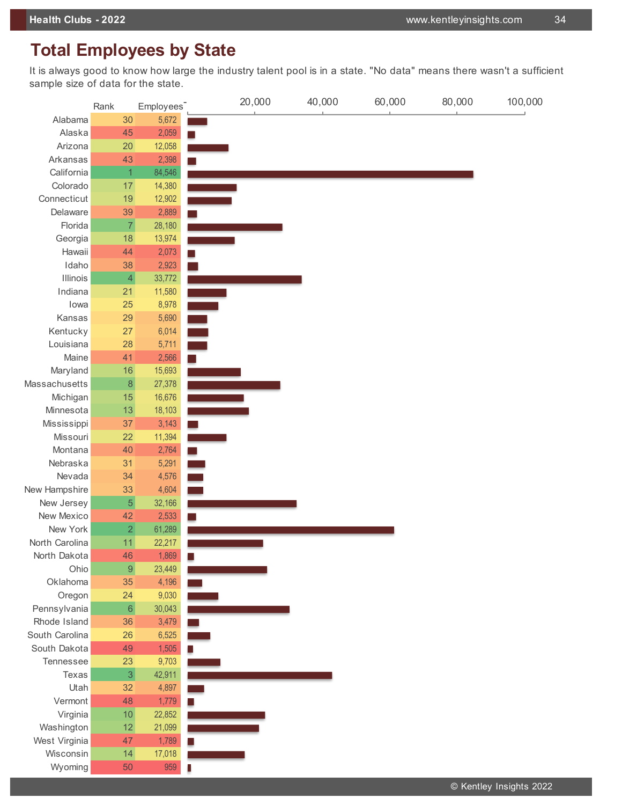# **Total Employees by State**

It is always good to know how large the industry talent pool is in a state. "No data" means there wasn't a sufficient sample size of data for the state.

|                 | Rank             | Employees <sup>-</sup> | 20,000 | 40,000 | 60,000 | 80,000 | 100,000 |
|-----------------|------------------|------------------------|--------|--------|--------|--------|---------|
| Alabama         | 30               | 5,672                  |        |        |        |        |         |
| Alaska          | 45               | 2,059                  |        |        |        |        |         |
| Arizona         | 20               | 12,058                 |        |        |        |        |         |
| Arkansas        | 43               | 2,398                  |        |        |        |        |         |
| California      | $\overline{1}$   | 84,546                 |        |        |        |        |         |
| Colorado        | 17               | 14,380                 |        |        |        |        |         |
| Connecticut     | 19               | 12,902                 |        |        |        |        |         |
| Delaware        | 39               | 2,889                  |        |        |        |        |         |
| Florida         | $\overline{7}$   | 28,180                 |        |        |        |        |         |
| Georgia         | 18               | 13,974                 |        |        |        |        |         |
| Hawaii          | 44               | 2,073                  |        |        |        |        |         |
| Idaho           | 38               | 2,923                  |        |        |        |        |         |
| <b>Illinois</b> | $\overline{4}$   | 33,772                 |        |        |        |        |         |
| Indiana         | 21               | 11,580                 |        |        |        |        |         |
| lowa            | 25               | 8,978                  |        |        |        |        |         |
| Kansas          | 29               | 5,690                  |        |        |        |        |         |
| Kentucky        | 27               | 6,014                  |        |        |        |        |         |
| Louisiana       | 28               | 5,711                  |        |        |        |        |         |
| Maine           | 41               | 2,566                  |        |        |        |        |         |
| Maryland        | 16               | 15,693                 |        |        |        |        |         |
| Massachusetts   | $\bf 8$          | 27,378                 |        |        |        |        |         |
| Michigan        | 15               | 16,676                 |        |        |        |        |         |
| Minnesota       | 13               | 18,103                 |        |        |        |        |         |
| Mississippi     | 37               | 3,143                  |        |        |        |        |         |
| Missouri        | 22               | 11,394                 |        |        |        |        |         |
| Montana         | 40               | 2,764                  |        |        |        |        |         |
| Nebraska        | 31               | 5,291                  |        |        |        |        |         |
| Nevada          | 34               | 4,576                  |        |        |        |        |         |
| New Hampshire   | 33               | 4,604                  |        |        |        |        |         |
| New Jersey      | $\overline{5}$   | 32,166                 |        |        |        |        |         |
| New Mexico      | 42               | 2,533                  |        |        |        |        |         |
| New York        | $\overline{c}$   | 61,289                 |        |        |        |        |         |
| North Carolina  | 11               | 22,217                 |        |        |        |        |         |
| North Dakota    | 46               | 1,869                  |        |        |        |        |         |
| Ohio            | $\boldsymbol{9}$ | 23,449                 |        |        |        |        |         |
| Oklahoma        | 35               | 4,196                  |        |        |        |        |         |
| Oregon          | 24               | 9,030                  |        |        |        |        |         |
| Pennsylvania    | $\,6\,$          | 30,043                 |        |        |        |        |         |
| Rhode Island    | 36               | 3,479                  |        |        |        |        |         |
| South Carolina  | 26               | 6,525                  |        |        |        |        |         |
| South Dakota    | 49               | 1,505                  |        |        |        |        |         |
| Tennessee       | 23               | 9,703                  |        |        |        |        |         |
| Texas           | $\overline{3}$   | 42,911                 |        |        |        |        |         |
| Utah            | 32               | 4,897                  |        |        |        |        |         |
| Vermont         | 48               | 1,779                  |        |        |        |        |         |
| Virginia        | 10               | 22,852                 |        |        |        |        |         |
| Washington      | 12               | 21,099                 |        |        |        |        |         |
| West Virginia   | 47               | 1,789                  |        |        |        |        |         |
| Wisconsin       | 14               | 17,018                 |        |        |        |        |         |
| Wyoming         | 50               | 959                    |        |        |        |        |         |
|                 |                  |                        |        |        |        |        |         |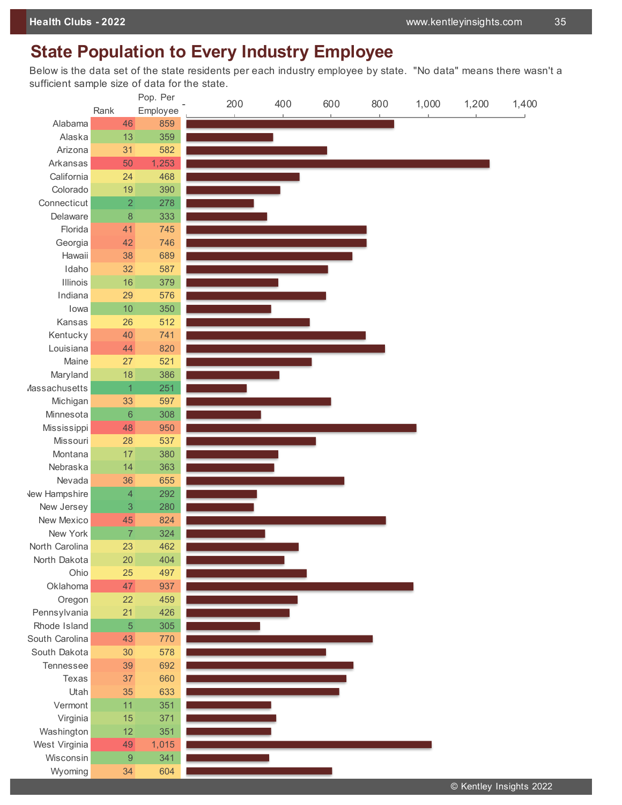# **State Population to Every Industry Employee**

Below is the data set of the state residents per each industry employee by state. "No data" means there wasn't a sufficient sample size of data for the state.